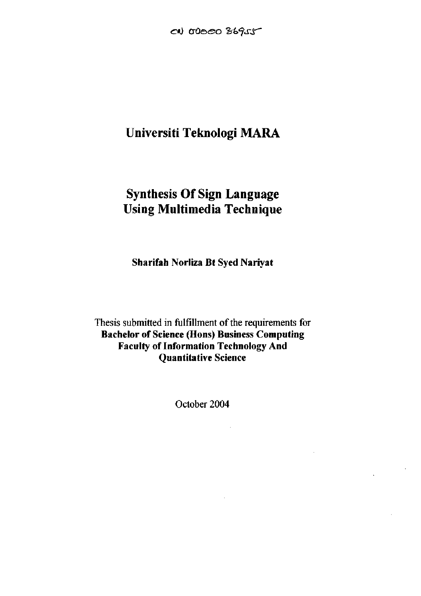## **Universiti Teknologi MARA**

# **Synthesis Of Sign Language Using Multimedia Technique**

**Sharifah Norliza Bt Syed Nariyat** 

Thesis submitted in fulfillment of the requirements for **Bachelor of Science (Hons) Business Computing Faculty of Information Technology And Quantitative Science** 

October 2004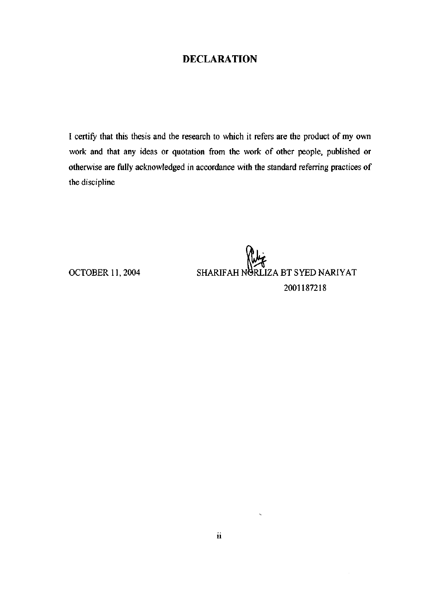#### DECLARATION

I certify that this thesis and the research to which it refers are the product of my own work and that any ideas or quotation from the work of other people, published or otherwise are fully acknowledged in accordance with the standard referring practices of the discipline

OCTOBER 11, 2004 SHARIF AH NURLIZA BT SYED NARIYAT 2001187218

 $\ddot{\phantom{1}}$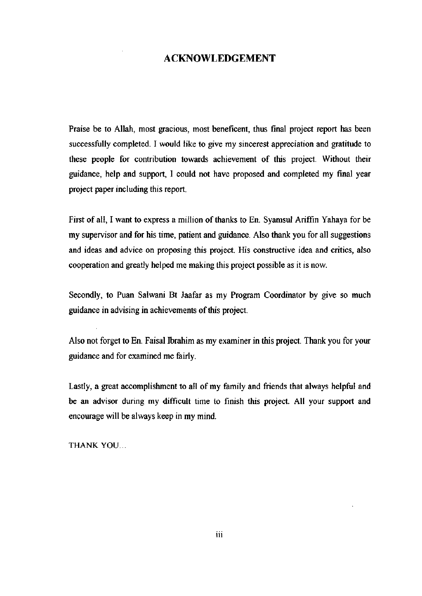#### ACKNOWLEDGEMENT

Praise be to Allah, most gracious, most beneficent, thus final project report has been successfully completed. I would like to give my sincerest appreciation and gratitude to these people for contribution towards achievement of this project. Without their guidance, help and support, I could not have proposed and completed my final year project paper including this report.

First of all, I want to express a million of thanks to En. Syamsul Ariffin Yahaya for be my supervisor and for his time, patient and guidance. Also thank you for all suggestions and ideas and advice on proposing this project. His constructive idea and critics, also cooperation and greatly helped me making this project possible as it is now.

Secondly, to Puan Salwani Bt Jaafar as my Program Coordinator by give so much guidance in advising in achievements of this project.

Also not forget to En. Faisal Ibrahim as my examiner in this project. Thank you for your guidance and for examined me fairly.

Lastly, a great accomplishment to all of my family and friends that always helpful and be an advisor during my difficult time to finish this project. All your support and encourage will be always keep in my mind.

THANK YOU...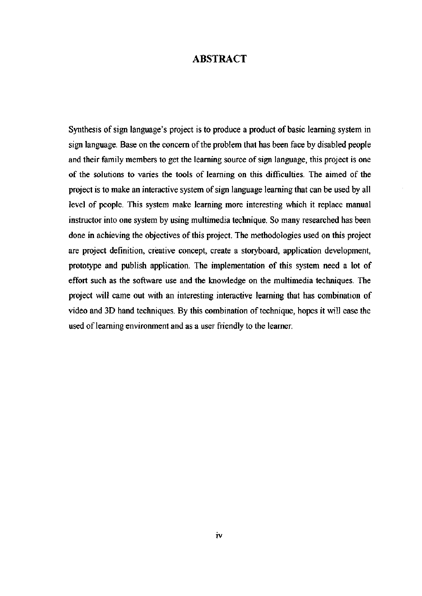#### ABSTRACT

Synthesis of sign language's project is to produce a product of basic learning system in sign language. Base on the concern of the problem that has been face by disabled people and their family members to get the learning source of sign language, this project is one of the solutions to varies the tools of learning on this difficulties. The aimed of the project is to make an interactive system of sign language learning that can be used by all level of people. This system make learning more interesting which it replace manual instructor into one system by using multimedia technique. So many researched has been done in achieving the objectives of this project. The methodologies used on this project are project definition, creative concept, create a storyboard, application development, prototype and publish application. The implementation of this system need a lot of effort such as the software use and the knowledge on the multimedia techniques. The project will came out with an interesting interactive learning that has combination of video and 3D hand techniques. By this combination of technique, hopes it will ease the used of learning environment and as a user friendly to the learner.